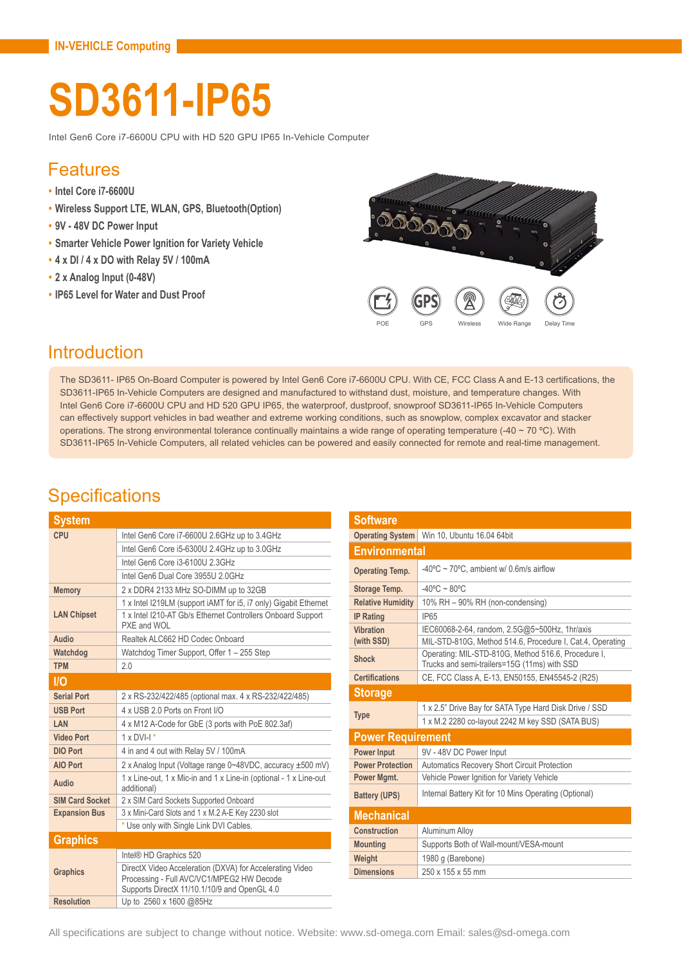# **SD3611-IP65**

Intel Gen6 Core i7-6600U CPU with HD 520 GPU IP65 In-Vehicle Computer

#### Features

- **• Intel Core i7-6600U**
- **• Wireless Support LTE, WLAN, GPS, Bluetooth(Option)**
- **• 9V 48V DC Power Input**
- **• Smarter Vehicle Power Ignition for Variety Vehicle**
- **• 4 x DI / 4 x DO with Relay 5V / 100mA**
- **• 2 x Analog Input (0-48V)**
- **• IP65 Level for Water and Dust Proof**



### Introduction

The SD3611- IP65 On-Board Computer is powered by Intel Gen6 Core i7-6600U CPU. With CE, FCC Class A and E-13 certifications, the SD3611-IP65 In-Vehicle Computers are designed and manufactured to withstand dust, moisture, and temperature changes. With Intel Gen6 Core i7-6600U CPU and HD 520 GPU IP65, the waterproof, dustproof, snowproof SD3611-IP65 In-Vehicle Computers can effectively support vehicles in bad weather and extreme working conditions, such as snowplow, complex excavator and stacker operations. The strong environmental tolerance continually maintains a wide range of operating temperature (-40 ~ 70 °C). With SD3611-IP65 In-Vehicle Computers, all related vehicles can be powered and easily connected for remote and real-time management.

### **Specifications**

| <b>System</b>          |                                                                                                                                                       |  |
|------------------------|-------------------------------------------------------------------------------------------------------------------------------------------------------|--|
| CPU                    | Intel Gen6 Core i7-6600U 2.6GHz up to 3.4GHz                                                                                                          |  |
|                        | Intel Gen6 Core i5-6300U 2.4GHz up to 3.0GHz                                                                                                          |  |
|                        | Intel Gen6 Core i3-6100U 2.3GHz                                                                                                                       |  |
|                        | Intel Gen6 Dual Core 3955U 2.0GHz                                                                                                                     |  |
| <b>Memory</b>          | 2 x DDR4 2133 MHz SO-DIMM up to 32GB                                                                                                                  |  |
|                        | 1 x Intel I219LM (support iAMT for i5, i7 only) Gigabit Ethernet                                                                                      |  |
| <b>LAN Chipset</b>     | 1 x Intel I210-AT Gb/s Ethernet Controllers Onboard Support<br>PXE and WOL                                                                            |  |
| Audio                  | Realtek ALC662 HD Codec Onboard                                                                                                                       |  |
| Watchdog               | Watchdog Timer Support, Offer 1 - 255 Step                                                                                                            |  |
| <b>TPM</b>             | 2.0                                                                                                                                                   |  |
| <b>I/O</b>             |                                                                                                                                                       |  |
| <b>Serial Port</b>     | 2 x RS-232/422/485 (optional max. 4 x RS-232/422/485)                                                                                                 |  |
| <b>USB Port</b>        | 4 x USB 2.0 Ports on Front I/O                                                                                                                        |  |
| LAN                    | 4 x M12 A-Code for GbE (3 ports with PoE 802.3af)                                                                                                     |  |
| <b>Video Port</b>      | $1 \times DVI-I$ <sup>*</sup>                                                                                                                         |  |
| <b>DIO Port</b>        | 4 in and 4 out with Relay 5V / 100mA                                                                                                                  |  |
| <b>AIO Port</b>        | 2 x Analog Input (Voltage range 0~48VDC, accuracy ±500 mV)                                                                                            |  |
| Audio                  | 1 x Line-out, 1 x Mic-in and 1 x Line-in (optional - 1 x Line-out<br>additional)                                                                      |  |
| <b>SIM Card Socket</b> | 2 x SIM Card Sockets Supported Onboard                                                                                                                |  |
| <b>Expansion Bus</b>   | 3 x Mini-Card Slots and 1 x M.2 A-E Key 2230 slot                                                                                                     |  |
|                        | * Use only with Single Link DVI Cables.                                                                                                               |  |
| <b>Graphics</b>        |                                                                                                                                                       |  |
|                        | Intel® HD Graphics 520                                                                                                                                |  |
| <b>Graphics</b>        | DirectX Video Acceleration (DXVA) for Accelerating Video<br>Processing - Full AVC/VC1/MPEG2 HW Decode<br>Supports DirectX 11/10.1/10/9 and OpenGL 4.0 |  |
| <b>Resolution</b>      | Up to 2560 x 1600 @85Hz                                                                                                                               |  |

| Software                 |                                                                                                     |  |
|--------------------------|-----------------------------------------------------------------------------------------------------|--|
| <b>Operating System</b>  | Win 10, Ubuntu 16.04 64bit                                                                          |  |
| <b>Environmental</b>     |                                                                                                     |  |
| <b>Operating Temp.</b>   | -40 $\degree$ C ~ 70 $\degree$ C, ambient w/ 0.6m/s airflow                                         |  |
| Storage Temp.            | $-40^{\circ}$ C ~ 80 $^{\circ}$ C                                                                   |  |
| <b>Relative Humidity</b> | 10% RH - 90% RH (non-condensing)                                                                    |  |
| <b>IP Rating</b>         | <b>IP65</b>                                                                                         |  |
| Vibration                | IEC60068-2-64, random, 2.5G@5~500Hz, 1hr/axis                                                       |  |
| (with SSD)               | MIL-STD-810G, Method 514.6, Procedure I, Cat.4, Operating                                           |  |
| <b>Shock</b>             | Operating: MIL-STD-810G, Method 516.6, Procedure I,<br>Trucks and semi-trailers=15G (11ms) with SSD |  |
| <b>Certifications</b>    | CE, FCC Class A, E-13, EN50155, EN45545-2 (R25)                                                     |  |
| <b>Storage</b>           |                                                                                                     |  |
| <b>Type</b>              | 1 x 2.5" Drive Bay for SATA Type Hard Disk Drive / SSD                                              |  |
|                          | 1 x M.2 2280 co-layout 2242 M key SSD (SATA BUS)                                                    |  |
| <b>Power Requirement</b> |                                                                                                     |  |
| <b>Power Input</b>       | 9V - 48V DC Power Input                                                                             |  |
| <b>Power Protection</b>  | <b>Automatics Recovery Short Circuit Protection</b>                                                 |  |
| Power Mgmt.              | Vehicle Power Ignition for Variety Vehicle                                                          |  |
| <b>Battery (UPS)</b>     | Internal Battery Kit for 10 Mins Operating (Optional)                                               |  |
| <b>Mechanical</b>        |                                                                                                     |  |
| Construction             | Aluminum Alloy                                                                                      |  |
| <b>Mounting</b>          | Supports Both of Wall-mount/VESA-mount                                                              |  |
| Weight                   | 1980 g (Barebone)                                                                                   |  |
| <b>Dimensions</b>        | 250 x 155 x 55 mm                                                                                   |  |
|                          |                                                                                                     |  |

All specifications are subject to change without notice. Website: www.sd-omega.com Email: sales@sd-omega.com